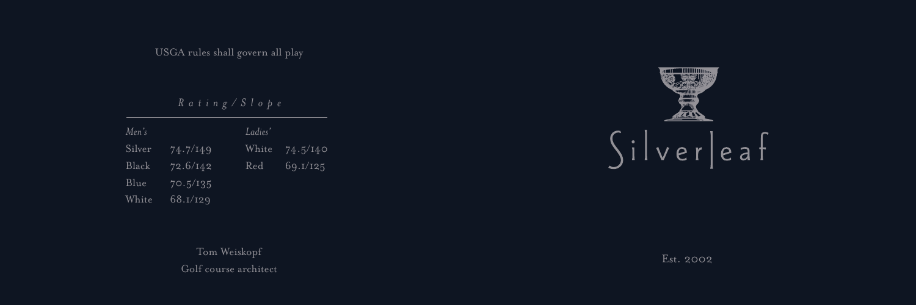USGA rules shall govern all play

*R a t i n g / S l o p e*

*Me n 's L a d i e s '* S i l v e r B l a c k B l u e White Wh i t e R e d 74.7/149 72.6/142  $70.5/135$ 68.I/I29  $74.5/140$ 6 9 . 1 / 1 2 5

> Tom Weiskopf Golf course architect



Est. 2002